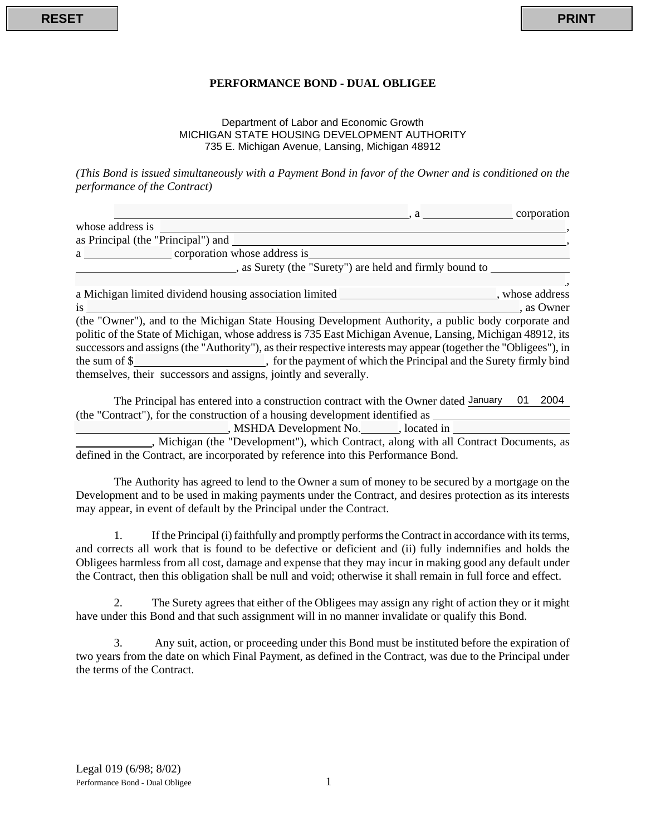## **PERFORMANCE BOND - DUAL OBLIGEE**

## Department of Labor and Economic Growth MICHIGAN STATE HOUSING DEVELOPMENT AUTHORITY 735 E. Michigan Avenue, Lansing, Michigan 48912

| <b>RESET</b>                 |                                                                                                                                                                                                                               | <b>PRINT</b> |
|------------------------------|-------------------------------------------------------------------------------------------------------------------------------------------------------------------------------------------------------------------------------|--------------|
|                              |                                                                                                                                                                                                                               |              |
|                              | PERFORMANCE BOND - DUAL OBLIGEE                                                                                                                                                                                               |              |
|                              | Department of Labor and Economic Growth<br>MICHIGAN STATE HOUSING DEVELOPMENT AUTHORITY<br>735 E. Michigan Avenue, Lansing, Michigan 48912                                                                                    |              |
| performance of the Contract) | (This Bond is issued simultaneously with a Payment Bond in favor of the Owner and is conditioned on the                                                                                                                       |              |
|                              | $a \sim a$ corporation                                                                                                                                                                                                        |              |
|                              |                                                                                                                                                                                                                               |              |
|                              |                                                                                                                                                                                                                               |              |
|                              | as Surety (the "Surety") are held and firmly bound to                                                                                                                                                                         |              |
|                              |                                                                                                                                                                                                                               |              |
|                              | a Michigan limited dividend housing association limited ______________________, whose address                                                                                                                                 |              |
|                              | is such as Owner to the set of the set of the set of the set of the set of the set of the set of the set of the set of the set of the set of the set of the set of the set of the set of the set of the set of the set of the |              |
|                              |                                                                                                                                                                                                                               |              |
|                              | (the "Owner"), and to the Michigan State Housing Development Authority, a public body corporate and                                                                                                                           |              |
|                              | politic of the State of Michigan, whose address is 735 East Michigan Avenue, Lansing, Michigan 48912, its                                                                                                                     |              |
|                              | successors and assigns (the "Authority"), as their respective interests may appear (together the "Obligees"), in                                                                                                              |              |
|                              |                                                                                                                                                                                                                               |              |
|                              | themselves, their successors and assigns, jointly and severally.                                                                                                                                                              |              |

The Principal has entered into a construction contract with the Owner dated January 01 2004 (the "Contract"), for the construction of a housing development identified as

, MSHDA Development No. \_\_\_\_\_\_, located in \_\_\_\_\_\_\_\_

, Michigan (the "Development"), which Contract, along with all Contract Documents, as defined in the Contract, are incorporated by reference into this Performance Bond.

The Authority has agreed to lend to the Owner a sum of money to be secured by a mortgage on the Development and to be used in making payments under the Contract, and desires protection as its interests may appear, in event of default by the Principal under the Contract.

1. If the Principal (i) faithfully and promptly performs the Contract in accordance with its terms, and corrects all work that is found to be defective or deficient and (ii) fully indemnifies and holds the Obligees harmless from all cost, damage and expense that they may incur in making good any default under the Contract, then this obligation shall be null and void; otherwise it shall remain in full force and effect.

2. The Surety agrees that either of the Obligees may assign any right of action they or it might have under this Bond and that such assignment will in no manner invalidate or qualify this Bond.

3. Any suit, action, or proceeding under this Bond must be instituted before the expiration of two years from the date on which Final Payment, as defined in the Contract, was due to the Principal under the terms of the Contract.